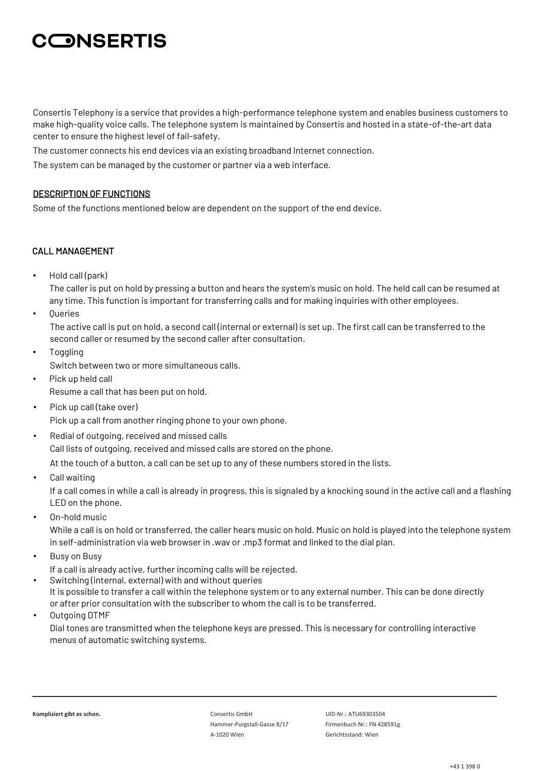Consertis Telephony is a service that provides a high-performance telephone system and enables business customers to make high-quality voice calls. The telephone system is maintained by Consertis and hosted in a state-of-the-art data center to ensure the highest level of fail-safety.

The customer connects his end devices via an existing broadband Internet connection.

The system can be managed by the customer or partner via a web interface.

### DESCRIPTION OF FUNCTIONS

Some of the functions mentioned below are dependent on the support of the end device.

### CALL MANAGEMENT

• Hold call (park)

The caller is put on hold by pressing a button and hears the system's music on hold. The held call can be resumed at any time. This function is important for transferring calls and for making inquiries with other employees.

**Queries** 

The active call is put on hold, a second call (internal or external) is set up. The first call can be transferred to the second caller or resumed by the second caller after consultation.

- **Toggling** Switch between two or more simultaneous calls.
- Pick up held call Resume a call that has been put on hold.
- Pick up call (take over)

Pick up a call from another ringing phone to your own phone.

- Redial of outgoing, received and missed calls Call lists of outgoing, received and missed calls are stored on the phone. At the touch of a button, a call can be set up to any of these numbers stored in the lists.
- Call waiting

If a call comes in while a call is already in progress, this is signaled by a knocking sound in the active call and a flashing LED on the phone.

• On-hold music

While a call is on hold or transferred, the caller hears music on hold. Music on hold is played into the telephone system in self-administration via web browser in .wav or .mp3 format and linked to the dial plan.

• Busy on Busy

If a call is already active, further incoming calls will be rejected.

- Switching (internal, external) with and without queries It is possible to transfer a call within the telephone system or to any external number. This can be done directly or after prior consultation with the subscriber to whom the call is to be transferred.
- Outgoing DTMF Dial tones are transmitted when the telephone keys are pressed. This is necessary for controlling interactive menus of automatic switching systems.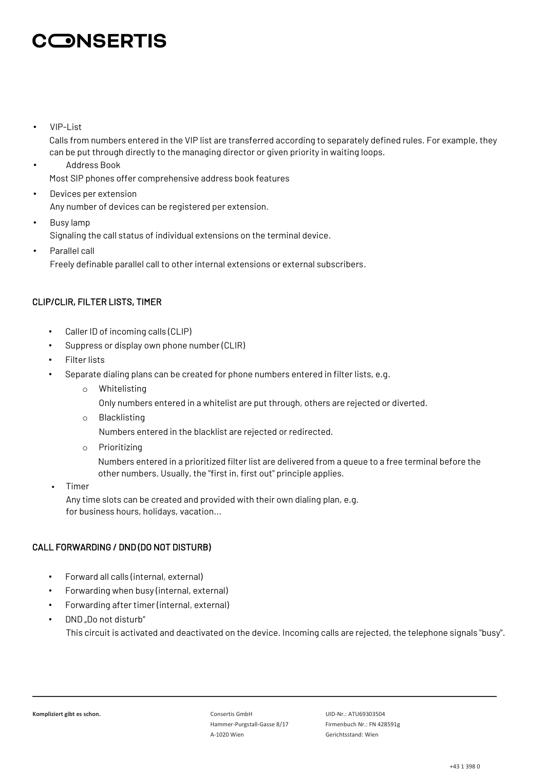• VIP-List

Calls from numbers entered in the VIP list are transferred according to separately defined rules. For example, they can be put through directly to the managing director or given priority in waiting loops.

- Address Book Most SIP phones offer comprehensive address book features
- Devices per extension Any number of devices can be registered per extension.
- Busy lamp Signaling the call status of individual extensions on the terminal device. • Parallel call
	- Freely definable parallel call to other internal extensions or external subscribers.

### CLIP/CLIR, FILTER LISTS, TIMER

- Caller ID of incoming calls (CLIP)
- Suppress or display own phone number (CLIR)
- Filter lists
- Separate dialing plans can be created for phone numbers entered in filter lists, e.g.
	- o Whitelisting

Only numbers entered in a whitelist are put through, others are rejected or diverted.

o Blacklisting

Numbers entered in the blacklist are rejected or redirected.

o Prioritizing

Numbers entered in a prioritized filter list are delivered from a queue to a free terminal before the other numbers. Usually, the "first in, first out" principle applies.

• Timer

Any time slots can be created and provided with their own dialing plan, e.g. for business hours, holidays, vacation...

## CALL FORWARDING / DND (DO NOT DISTURB)

- Forward all calls (internal, external)
- Forwarding when busy (internal, external)
- Forwarding after timer (internal, external)
- DND ..Do not disturb" This circuit is activated and deactivated on the device. Incoming calls are rejected, the telephone signals "busy".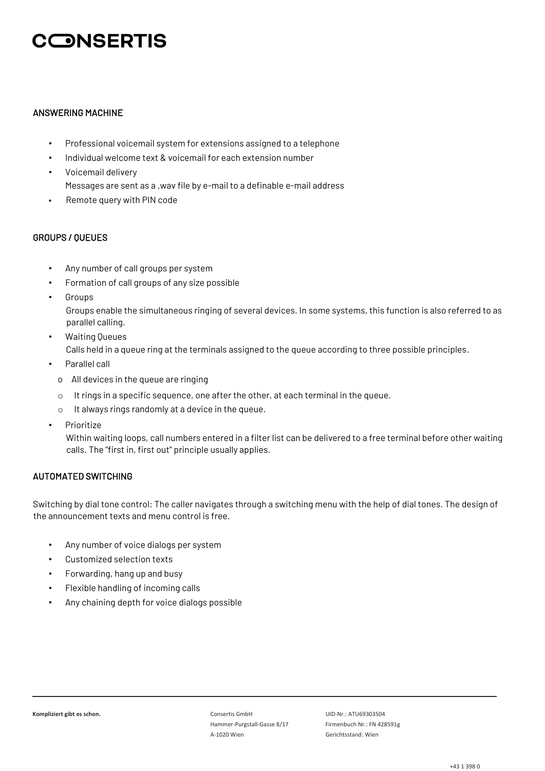### ANSWERING MACHINE

- Professional voicemail system for extensions assigned to a telephone
- Individual welcome text & voicemail for each extension number
- Voicemail delivery Messages are sent as a .wav file by e-mail to a definable e-mail address
- Remote query with PIN code

### GROUPS / QUEUES

- Any number of call groups per system
- Formation of call groups of any size possible
- **Groups**

Groups enable the simultaneous ringing of several devices. In some systems, this function is also referred to as parallel calling.

- Waiting Queues Calls held in a queue ring at the terminals assigned to the queue according to three possible principles.
- Parallel call
	- o All devices in the queue are ringing
	- $\circ$  It rings in a specific sequence, one after the other, at each terminal in the queue.
- o It always rings randomly at a device in the queue.
- **Prioritize**

Within waiting loops, call numbers entered in a filter list can be delivered to a free terminal before other waiting calls. The "first in, first out" principle usually applies.

## AUTOMATED SWITCHING

Switching by dial tone control: The caller navigates through a switching menu with the help of dial tones. The design of the announcement texts and menu control is free.

- Any number of voice dialogs per system
- Customized selection texts
- Forwarding, hang up and busy
- Flexible handling of incoming calls
- Any chaining depth for voice dialogs possible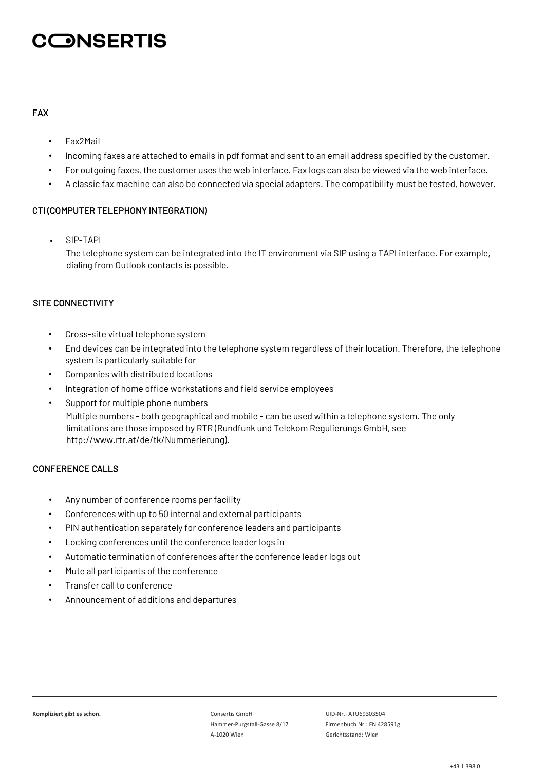## FAX

- Fax2Mail
- Incoming faxes are attached to emails in pdf format and sent to an email address specified by the customer.
- For outgoing faxes, the customer uses the web interface. Fax logs can also be viewed via the web interface.
- A classic fax machine can also be connected via special adapters. The compatibility must be tested, however.

### CTI (COMPUTER TELEPHONY INTEGRATION)

• SIP-TAPI

The telephone system can be integrated into the IT environment via SIP using a TAPI interface. For example, dialing from Outlook contacts is possible.

### SITE CONNECTIVITY

- Cross-site virtual telephone system
- End devices can be integrated into the telephone system regardless of their location. Therefore, the telephone system is particularly suitable for
- Companies with distributed locations
- Integration of home office workstations and field service employees
- Support for multiple phone numbers Multiple numbers - both geographical and mobile - can be used within a telephone system. The only limitations are those imposed by RTR (Rundfunk und Telekom Regulierungs GmbH, see http://www.rtr.at/de/tk/Nummerierung).

## CONFERENCE CALLS

- Any number of conference rooms per facility
- Conferences with up to 50 internal and external participants
- PIN authentication separately for conference leaders and participants
- Locking conferences until the conference leader logs in
- Automatic termination of conferences after the conference leader logs out
- Mute all participants of the conference
- Transfer call to conference
- Announcement of additions and departures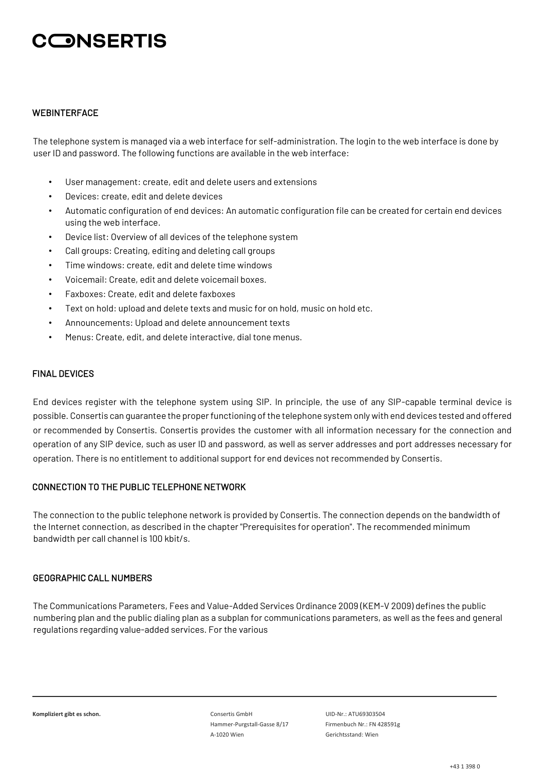#### **WEBINTERFACE**

The telephone system is managed via a web interface for self-administration. The login to the web interface is done by user ID and password. The following functions are available in the web interface:

- User management: create, edit and delete users and extensions
- Devices: create, edit and delete devices
- Automatic configuration of end devices: An automatic configuration file can be created for certain end devices using the web interface.
- Device list: Overview of all devices of the telephone system
- Call groups: Creating, editing and deleting call groups
- Time windows: create, edit and delete time windows
- Voicemail: Create, edit and delete voicemail boxes.
- Faxboxes: Create, edit and delete faxboxes
- Text on hold: upload and delete texts and music for on hold, music on hold etc.
- Announcements: Upload and delete announcement texts
- Menus: Create, edit, and delete interactive, dial tone menus.

#### FINAL DEVICES

End devices register with the telephone system using SIP. In principle, the use of any SIP-capable terminal device is possible. Consertis can guarantee the proper functioning of the telephone system only with end devices tested and offered or recommended by Consertis. Consertis provides the customer with all information necessary for the connection and operation of any SIP device, such as user ID and password, as well as server addresses and port addresses necessary for operation. There is no entitlement to additional support for end devices not recommended by Consertis.

### CONNECTION TO THE PUBLIC TELEPHONE NETWORK

The connection to the public telephone network is provided by Consertis. The connection depends on the bandwidth of the Internet connection, as described in the chapter "Prerequisites for operation". The recommended minimum bandwidth per call channel is 100 kbit/s.

### GEOGRAPHIC CALL NUMBERS

The Communications Parameters, Fees and Value-Added Services Ordinance 2009 (KEM-V 2009) defines the public numbering plan and the public dialing plan as a subplan for communications parameters, as well as the fees and general regulations regarding value-added services. For the various

**Kompliziert gibt es schon.** Consertis GmbH UID-Nr.: ATU69303504 Hammer-Purgstall-Gasse 8/17 Firmenbuch Nr.: FN 428591g A-1020 Wien Gerichtsstand: Wien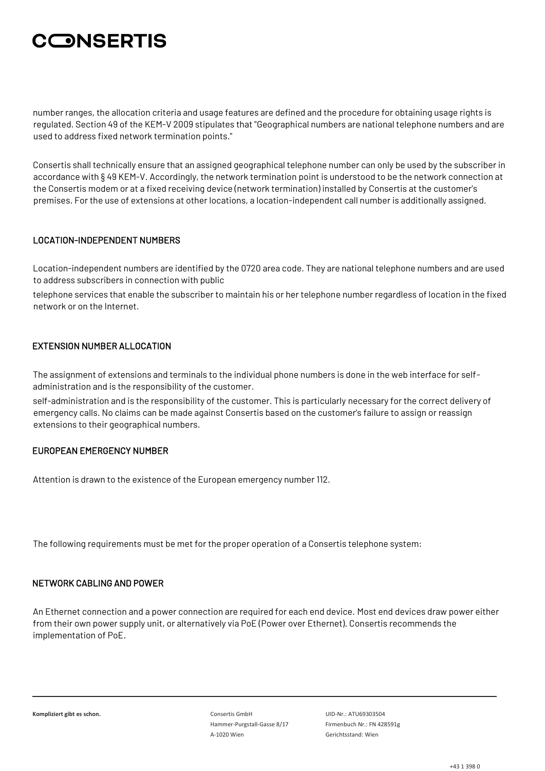number ranges, the allocation criteria and usage features are defined and the procedure for obtaining usage rights is regulated. Section 49 of the KEM-V 2009 stipulates that "Geographical numbers are national telephone numbers and are used to address fixed network termination points."

Consertis shall technically ensure that an assigned geographical telephone number can only be used by the subscriber in accordance with § 49 KEM-V. Accordingly, the network termination point is understood to be the network connection at the Consertis modem or at a fixed receiving device (network termination) installed by Consertis at the customer's premises. For the use of extensions at other locations, a location-independent call number is additionally assigned.

## LOCATION-INDEPENDENT NUMBERS

Location-independent numbers are identified by the 0720 area code. They are national telephone numbers and are used to address subscribers in connection with public

telephone services that enable the subscriber to maintain his or her telephone number regardless of location in the fixed network or on the Internet.

### EXTENSION NUMBER ALLOCATION

The assignment of extensions and terminals to the individual phone numbers is done in the web interface for selfadministration and is the responsibility of the customer.

self-administration and is the responsibility of the customer. This is particularly necessary for the correct delivery of emergency calls. No claims can be made against Consertis based on the customer's failure to assign or reassign extensions to their geographical numbers.

### EUROPEAN EMERGENCY NUMBER

Attention is drawn to the existence of the European emergency number 112.

The following requirements must be met for the proper operation of a Consertis telephone system:

#### NETWORK CABLING AND POWER

An Ethernet connection and a power connection are required for each end device. Most end devices draw power either from their own power supply unit, or alternatively via PoE (Power over Ethernet). Consertis recommends the implementation of PoE.

**Kompliziert gibt es schon.** Consertis GmbH UID-Nr.: ATU69303504 Hammer-Purgstall-Gasse 8/17 Firmenbuch Nr.: FN 428591g A-1020 Wien Gerichtsstand: Wien